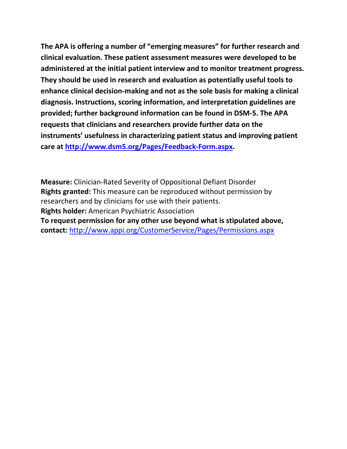**The APA is offering a number of "emerging measures" for further research and clinical evaluation. These patient assessment measures were developed to be administered at the initial patient interview and to monitor treatment progress. They should be used in research and evaluation as potentially useful tools to enhance clinical decision-making and not as the sole basis for making a clinical diagnosis. Instructions, scoring information, and interpretation guidelines are provided; further background information can be found in DSM-5. The APA requests that clinicians and researchers provide further data on the instruments' usefulness in characterizing patient status and improving patient care at [http://www.dsm5.org/Pages/Feedback-Form.aspx.](http://www.dsm5.org/Pages/Feedback-Form.aspx)**

**Measure:** Clinician-Rated Severity of Oppositional Defiant Disorder **Rights granted:** This measure can be reproduced without permission by researchers and by clinicians for use with their patients. **Rights holder:** American Psychiatric Association **To request permission for any other use beyond what is stipulated above, contact:** <http://www.appi.org/CustomerService/Pages/Permissions.aspx>